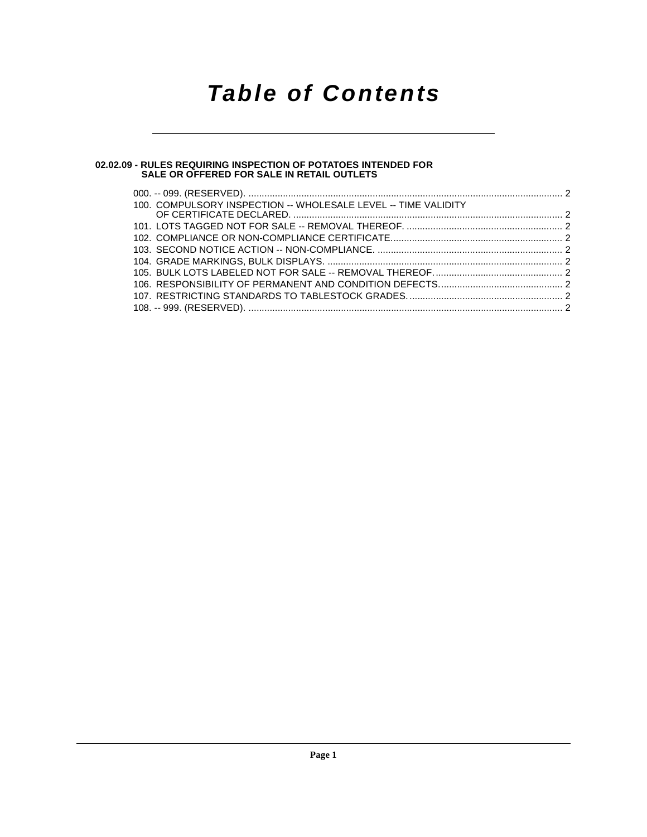# **Table of Contents**

#### **[02.02.09 - RULES REQUIRING INSPECTION OF POTATOES INTENDED FOR](#page-1-0) SALE OR OFFERED FOR SALE IN RETAIL OUTLETS**

| 100. COMPULSORY INSPECTION -- WHOLESALE LEVEL -- TIME VALIDITY |  |
|----------------------------------------------------------------|--|
|                                                                |  |
|                                                                |  |
|                                                                |  |
|                                                                |  |
|                                                                |  |
|                                                                |  |
|                                                                |  |
|                                                                |  |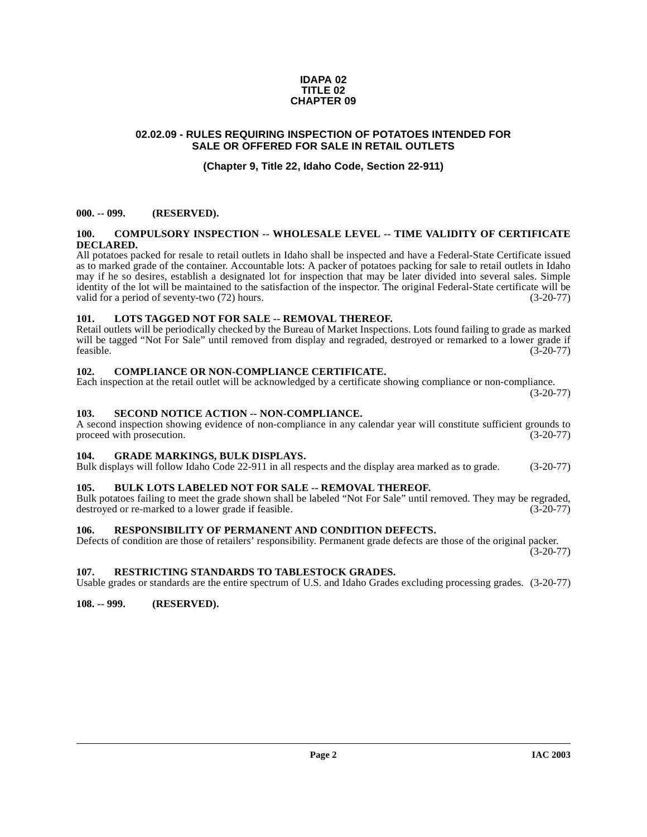#### **IDAPA 02 TITLE 02 CHAPTER 09**

# <span id="page-1-0"></span>**02.02.09 - RULES REQUIRING INSPECTION OF POTATOES INTENDED FOR SALE OR OFFERED FOR SALE IN RETAIL OUTLETS**

# **(Chapter 9, Title 22, Idaho Code, Section 22-911)**

# <span id="page-1-1"></span>**000. -- 099. (RESERVED).**

#### <span id="page-1-13"></span><span id="page-1-2"></span>**100. COMPULSORY INSPECTION -- WHOLESALE LEVEL -- TIME VALIDITY OF CERTIFICATE DECLARED.**

All potatoes packed for resale to retail outlets in Idaho shall be inspected and have a Federal-State Certificate issued as to marked grade of the container. Accountable lots: A packer of potatoes packing for sale to retail outlets in Idaho may if he so desires, establish a designated lot for inspection that may be later divided into several sales. Simple identity of the lot will be maintained to the satisfaction of the inspector. The original Federal-State certificate will be valid for a period of seventy-two (72) hours. (3-20-77)

#### <span id="page-1-15"></span><span id="page-1-3"></span>**101. LOTS TAGGED NOT FOR SALE -- REMOVAL THEREOF.**

Retail outlets will be periodically checked by the Bureau of Market Inspections. Lots found failing to grade as marked will be tagged "Not For Sale" until removed from display and regraded, destroyed or remarked to a lower grade if feasible. (3-20-77)  $f$ easible. (3-20-77)

#### <span id="page-1-12"></span><span id="page-1-4"></span>**102. COMPLIANCE OR NON-COMPLIANCE CERTIFICATE.**

Each inspection at the retail outlet will be acknowledged by a certificate showing compliance or non-compliance.

(3-20-77)

### <span id="page-1-18"></span><span id="page-1-5"></span>**103. SECOND NOTICE ACTION -- NON-COMPLIANCE.**

A second inspection showing evidence of non-compliance in any calendar year will constitute sufficient grounds to proceed with prosecution. (3-20-77) proceed with prosecution.

#### <span id="page-1-14"></span><span id="page-1-6"></span>**104. GRADE MARKINGS, BULK DISPLAYS.**

Bulk displays will follow Idaho Code 22-911 in all respects and the display area marked as to grade. (3-20-77)

# <span id="page-1-11"></span><span id="page-1-7"></span>**105. BULK LOTS LABELED NOT FOR SALE -- REMOVAL THEREOF.**

Bulk potatoes failing to meet the grade shown shall be labeled "Not For Sale" until removed. They may be regraded, destroyed or re-marked to a lower grade if feasible. (3-20-77) destroyed or re-marked to a lower grade if feasible.

#### <span id="page-1-16"></span><span id="page-1-8"></span>**106. RESPONSIBILITY OF PERMANENT AND CONDITION DEFECTS.**

Defects of condition are those of retailers' responsibility. Permanent grade defects are those of the original packer. (3-20-77)

#### <span id="page-1-17"></span><span id="page-1-9"></span>**107. RESTRICTING STANDARDS TO TABLESTOCK GRADES.**

Usable grades or standards are the entire spectrum of U.S. and Idaho Grades excluding processing grades. (3-20-77)

#### <span id="page-1-10"></span>**108. -- 999. (RESERVED).**